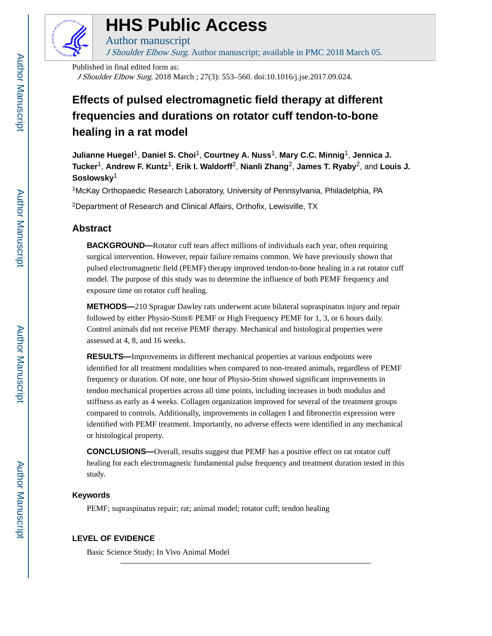

# **HHS Public Access**

Author manuscript J Shoulder Elbow Surg. Author manuscript; available in PMC 2018 March 05.

Published in final edited form as:

J Shoulder Elbow Surg. 2018 March ; 27(3): 553–560. doi:10.1016/j.jse.2017.09.024.

## **Effects of pulsed electromagnetic field therapy at different frequencies and durations on rotator cuff tendon-to-bone healing in a rat model**

**Julianne Huegel**1, **Daniel S. Choi**1, **Courtney A. Nuss**1, **Mary C.C. Minnig**1, **Jennica J. Tucker**1, **Andrew F. Kuntz**1, **Erik I. Waldorff**2, **Nianli Zhang**2, **James T. Ryaby**2, and **Louis J. Soslowsky**<sup>1</sup>

<sup>1</sup>McKay Orthopaedic Research Laboratory, University of Pennsylvania, Philadelphia, PA

<sup>2</sup>Department of Research and Clinical Affairs, Orthofix, Lewisville, TX

## **Abstract**

**BACKGROUND—**Rotator cuff tears affect millions of individuals each year, often requiring surgical intervention. However, repair failure remains common. We have previously shown that pulsed electromagnetic field (PEMF) therapy improved tendon-to-bone healing in a rat rotator cuff model. The purpose of this study was to determine the influence of both PEMF frequency and exposure time on rotator cuff healing.

**METHODS—**210 Sprague Dawley rats underwent acute bilateral supraspinatus injury and repair followed by either Physio-Stim® PEMF or High Frequency PEMF for 1, 3, or 6 hours daily. Control animals did not receive PEMF therapy. Mechanical and histological properties were assessed at 4, 8, and 16 weeks.

**RESULTS—**Improvements in different mechanical properties at various endpoints were identified for all treatment modalities when compared to non-treated animals, regardless of PEMF frequency or duration. Of note, one hour of Physio-Stim showed significant improvements in tendon mechanical properties across all time points, including increases in both modulus and stiffness as early as 4 weeks. Collagen organization improved for several of the treatment groups compared to controls. Additionally, improvements in collagen I and fibronectin expression were identified with PEMF treatment. Importantly, no adverse effects were identified in any mechanical or histological property.

**CONCLUSIONS—**Overall, results suggest that PEMF has a positive effect on rat rotator cuff healing for each electromagnetic fundamental pulse frequency and treatment duration tested in this study.

## **Keywords**

PEMF; supraspinatus repair; rat; animal model; rotator cuff; tendon healing

## **LEVEL OF EVIDENCE**

Basic Science Study; In Vivo Animal Model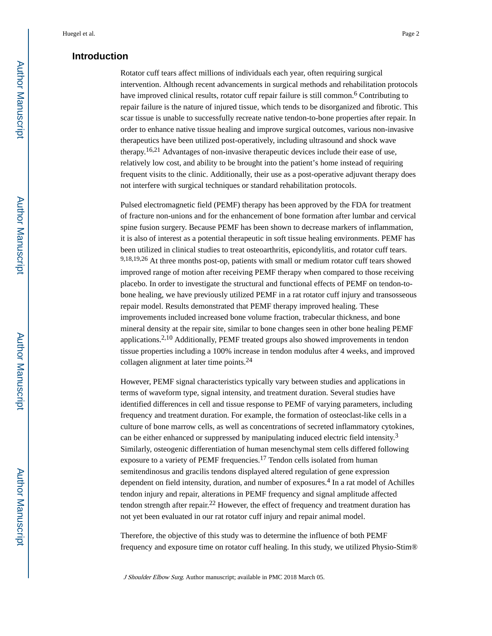## **Introduction**

Rotator cuff tears affect millions of individuals each year, often requiring surgical intervention. Although recent advancements in surgical methods and rehabilitation protocols have improved clinical results, rotator cuff repair failure is still common.<sup>6</sup> Contributing to repair failure is the nature of injured tissue, which tends to be disorganized and fibrotic. This scar tissue is unable to successfully recreate native tendon-to-bone properties after repair. In order to enhance native tissue healing and improve surgical outcomes, various non-invasive therapeutics have been utilized post-operatively, including ultrasound and shock wave therapy.16,21 Advantages of non-invasive therapeutic devices include their ease of use, relatively low cost, and ability to be brought into the patient's home instead of requiring frequent visits to the clinic. Additionally, their use as a post-operative adjuvant therapy does not interfere with surgical techniques or standard rehabilitation protocols.

Pulsed electromagnetic field (PEMF) therapy has been approved by the FDA for treatment of fracture non-unions and for the enhancement of bone formation after lumbar and cervical spine fusion surgery. Because PEMF has been shown to decrease markers of inflammation, it is also of interest as a potential therapeutic in soft tissue healing environments. PEMF has been utilized in clinical studies to treat osteoarthritis, epicondylitis, and rotator cuff tears. 9,18,19,26 At three months post-op, patients with small or medium rotator cuff tears showed improved range of motion after receiving PEMF therapy when compared to those receiving placebo. In order to investigate the structural and functional effects of PEMF on tendon-tobone healing, we have previously utilized PEMF in a rat rotator cuff injury and transosseous repair model. Results demonstrated that PEMF therapy improved healing. These improvements included increased bone volume fraction, trabecular thickness, and bone mineral density at the repair site, similar to bone changes seen in other bone healing PEMF applications.2,10 Additionally, PEMF treated groups also showed improvements in tendon tissue properties including a 100% increase in tendon modulus after 4 weeks, and improved collagen alignment at later time points.<sup>24</sup>

However, PEMF signal characteristics typically vary between studies and applications in terms of waveform type, signal intensity, and treatment duration. Several studies have identified differences in cell and tissue response to PEMF of varying parameters, including frequency and treatment duration. For example, the formation of osteoclast-like cells in a culture of bone marrow cells, as well as concentrations of secreted inflammatory cytokines, can be either enhanced or suppressed by manipulating induced electric field intensity.<sup>3</sup> Similarly, osteogenic differentiation of human mesenchymal stem cells differed following exposure to a variety of PEMF frequencies.17 Tendon cells isolated from human semitendinosus and gracilis tendons displayed altered regulation of gene expression dependent on field intensity, duration, and number of exposures.<sup>4</sup> In a rat model of Achilles tendon injury and repair, alterations in PEMF frequency and signal amplitude affected tendon strength after repair.22 However, the effect of frequency and treatment duration has not yet been evaluated in our rat rotator cuff injury and repair animal model.

Therefore, the objective of this study was to determine the influence of both PEMF frequency and exposure time on rotator cuff healing. In this study, we utilized Physio-Stim®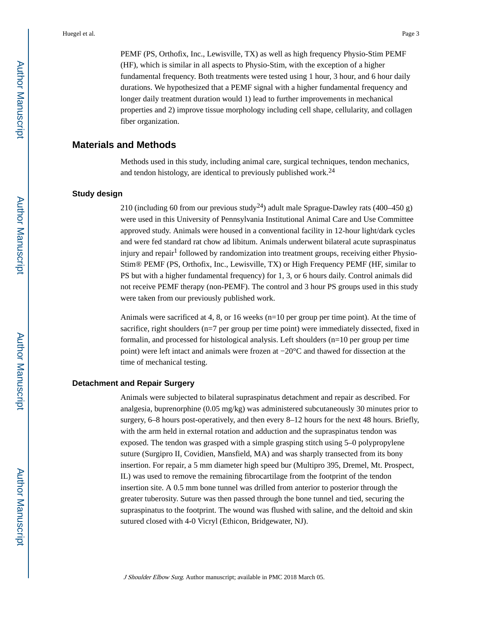PEMF (PS, Orthofix, Inc., Lewisville, TX) as well as high frequency Physio-Stim PEMF (HF), which is similar in all aspects to Physio-Stim, with the exception of a higher fundamental frequency. Both treatments were tested using 1 hour, 3 hour, and 6 hour daily durations. We hypothesized that a PEMF signal with a higher fundamental frequency and longer daily treatment duration would 1) lead to further improvements in mechanical properties and 2) improve tissue morphology including cell shape, cellularity, and collagen fiber organization.

#### **Materials and Methods**

Methods used in this study, including animal care, surgical techniques, tendon mechanics, and tendon histology, are identical to previously published work.<sup>24</sup>

#### **Study design**

210 (including 60 from our previous study<sup>24</sup>) adult male Sprague-Dawley rats (400–450 g) were used in this University of Pennsylvania Institutional Animal Care and Use Committee approved study. Animals were housed in a conventional facility in 12-hour light/dark cycles and were fed standard rat chow ad libitum. Animals underwent bilateral acute supraspinatus injury and repair<sup>1</sup> followed by randomization into treatment groups, receiving either Physio-Stim® PEMF (PS, Orthofix, Inc., Lewisville, TX) or High Frequency PEMF (HF, similar to PS but with a higher fundamental frequency) for 1, 3, or 6 hours daily. Control animals did not receive PEMF therapy (non-PEMF). The control and 3 hour PS groups used in this study were taken from our previously published work.

Animals were sacrificed at 4, 8, or 16 weeks (n=10 per group per time point). At the time of sacrifice, right shoulders (n=7 per group per time point) were immediately dissected, fixed in formalin, and processed for histological analysis. Left shoulders (n=10 per group per time point) were left intact and animals were frozen at −20°C and thawed for dissection at the time of mechanical testing.

#### **Detachment and Repair Surgery**

Animals were subjected to bilateral supraspinatus detachment and repair as described. For analgesia, buprenorphine (0.05 mg/kg) was administered subcutaneously 30 minutes prior to surgery, 6–8 hours post-operatively, and then every 8–12 hours for the next 48 hours. Briefly, with the arm held in external rotation and adduction and the supraspinatus tendon was exposed. The tendon was grasped with a simple grasping stitch using 5–0 polypropylene suture (Surgipro II, Covidien, Mansfield, MA) and was sharply transected from its bony insertion. For repair, a 5 mm diameter high speed bur (Multipro 395, Dremel, Mt. Prospect, IL) was used to remove the remaining fibrocartilage from the footprint of the tendon insertion site. A 0.5 mm bone tunnel was drilled from anterior to posterior through the greater tuberosity. Suture was then passed through the bone tunnel and tied, securing the supraspinatus to the footprint. The wound was flushed with saline, and the deltoid and skin sutured closed with 4-0 Vicryl (Ethicon, Bridgewater, NJ).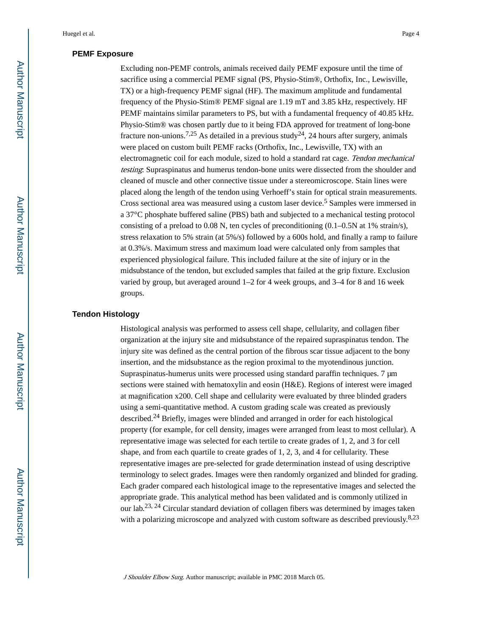#### **PEMF Exposure**

Excluding non-PEMF controls, animals received daily PEMF exposure until the time of sacrifice using a commercial PEMF signal (PS, Physio-Stim®, Orthofix, Inc., Lewisville, TX) or a high-frequency PEMF signal (HF). The maximum amplitude and fundamental frequency of the Physio-Stim® PEMF signal are 1.19 mT and 3.85 kHz, respectively. HF PEMF maintains similar parameters to PS, but with a fundamental frequency of 40.85 kHz. Physio-Stim® was chosen partly due to it being FDA approved for treatment of long-bone fracture non-unions.<sup>7,25</sup> As detailed in a previous study<sup>24</sup>, 24 hours after surgery, animals were placed on custom built PEMF racks (Orthofix, Inc., Lewisville, TX) with an electromagnetic coil for each module, sized to hold a standard rat cage. Tendon mechanical testing: Supraspinatus and humerus tendon-bone units were dissected from the shoulder and cleaned of muscle and other connective tissue under a stereomicroscope. Stain lines were placed along the length of the tendon using Verhoeff's stain for optical strain measurements. Cross sectional area was measured using a custom laser device.<sup>5</sup> Samples were immersed in a 37°C phosphate buffered saline (PBS) bath and subjected to a mechanical testing protocol consisting of a preload to 0.08 N, ten cycles of preconditioning (0.1–0.5N at 1% strain/s), stress relaxation to 5% strain (at 5%/s) followed by a 600s hold, and finally a ramp to failure at 0.3%/s. Maximum stress and maximum load were calculated only from samples that experienced physiological failure. This included failure at the site of injury or in the midsubstance of the tendon, but excluded samples that failed at the grip fixture. Exclusion varied by group, but averaged around 1–2 for 4 week groups, and 3–4 for 8 and 16 week groups.

#### **Tendon Histology**

Histological analysis was performed to assess cell shape, cellularity, and collagen fiber organization at the injury site and midsubstance of the repaired supraspinatus tendon. The injury site was defined as the central portion of the fibrous scar tissue adjacent to the bony insertion, and the midsubstance as the region proximal to the myotendinous junction. Supraspinatus-humerus units were processed using standard paraffin techniques. 7 μm sections were stained with hematoxylin and eosin (H&E). Regions of interest were imaged at magnification x200. Cell shape and cellularity were evaluated by three blinded graders using a semi-quantitative method. A custom grading scale was created as previously described.24 Briefly, images were blinded and arranged in order for each histological property (for example, for cell density, images were arranged from least to most cellular). A representative image was selected for each tertile to create grades of 1, 2, and 3 for cell shape, and from each quartile to create grades of 1, 2, 3, and 4 for cellularity. These representative images are pre-selected for grade determination instead of using descriptive terminology to select grades. Images were then randomly organized and blinded for grading. Each grader compared each histological image to the representative images and selected the appropriate grade. This analytical method has been validated and is commonly utilized in our lab.23, 24 Circular standard deviation of collagen fibers was determined by images taken with a polarizing microscope and analyzed with custom software as described previously.<sup>8,23</sup>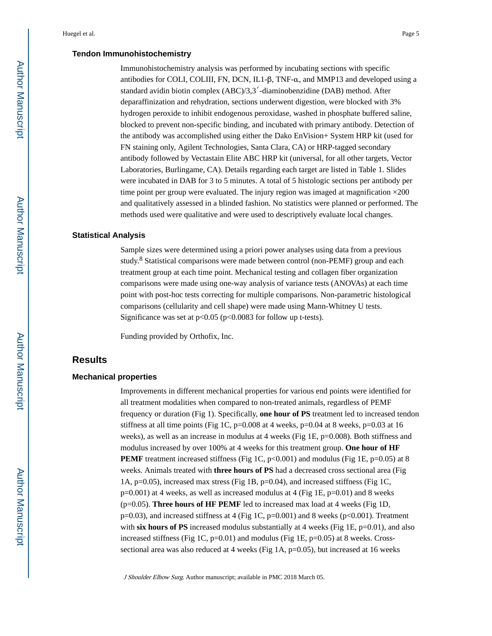#### **Tendon Immunohistochemistry**

Immunohistochemistry analysis was performed by incubating sections with specific antibodies for COLI, COLIII, FN, DCN, IL1-β, TNF-α, and MMP13 and developed using a standard avidin biotin complex (ABC)/3,3′-diaminobenzidine (DAB) method. After deparaffinization and rehydration, sections underwent digestion, were blocked with 3% hydrogen peroxide to inhibit endogenous peroxidase, washed in phosphate buffered saline, blocked to prevent non-specific binding, and incubated with primary antibody. Detection of the antibody was accomplished using either the Dako EnVision+ System HRP kit (used for FN staining only, Agilent Technologies, Santa Clara, CA) or HRP-tagged secondary antibody followed by Vectastain Elite ABC HRP kit (universal, for all other targets, Vector Laboratories, Burlingame, CA). Details regarding each target are listed in Table 1. Slides were incubated in DAB for 3 to 5 minutes. A total of 5 histologic sections per antibody per time point per group were evaluated. The injury region was imaged at magnification  $\times$ 200 and qualitatively assessed in a blinded fashion. No statistics were planned or performed. The methods used were qualitative and were used to descriptively evaluate local changes.

#### **Statistical Analysis**

Sample sizes were determined using a priori power analyses using data from a previous study.<sup>8</sup> Statistical comparisons were made between control (non-PEMF) group and each treatment group at each time point. Mechanical testing and collagen fiber organization comparisons were made using one-way analysis of variance tests (ANOVAs) at each time point with post-hoc tests correcting for multiple comparisons. Non-parametric histological comparisons (cellularity and cell shape) were made using Mann-Whitney U tests. Significance was set at  $p<0.05$  ( $p<0.0083$  for follow up t-tests).

Funding provided by Orthofix, Inc.

## **Results**

#### **Mechanical properties**

Improvements in different mechanical properties for various end points were identified for all treatment modalities when compared to non-treated animals, regardless of PEMF frequency or duration (Fig 1). Specifically, **one hour of PS** treatment led to increased tendon stiffness at all time points (Fig 1C,  $p=0.008$  at 4 weeks,  $p=0.04$  at 8 weeks,  $p=0.03$  at 16 weeks), as well as an increase in modulus at 4 weeks (Fig 1E, p=0.008). Both stiffness and modulus increased by over 100% at 4 weeks for this treatment group. **One hour of HF PEMF** treatment increased stiffness (Fig 1C, p<0.001) and modulus (Fig 1E, p=0.05) at 8 weeks. Animals treated with **three hours of PS** had a decreased cross sectional area (Fig 1A, p=0.05), increased max stress (Fig 1B, p=0.04), and increased stiffness (Fig 1C,  $p=0.001$ ) at 4 weeks, as well as increased modulus at 4 (Fig 1E,  $p=0.01$ ) and 8 weeks (p=0.05). **Three hours of HF PEMF** led to increased max load at 4 weeks (Fig 1D,  $p=0.03$ ), and increased stiffness at 4 (Fig 1C,  $p=0.001$ ) and 8 weeks ( $p<0.001$ ). Treatment with **six hours of PS** increased modulus substantially at 4 weeks (Fig 1E,  $p=0.01$ ), and also increased stiffness (Fig 1C,  $p=0.01$ ) and modulus (Fig 1E,  $p=0.05$ ) at 8 weeks. Crosssectional area was also reduced at 4 weeks (Fig  $1A$ , p=0.05), but increased at 16 weeks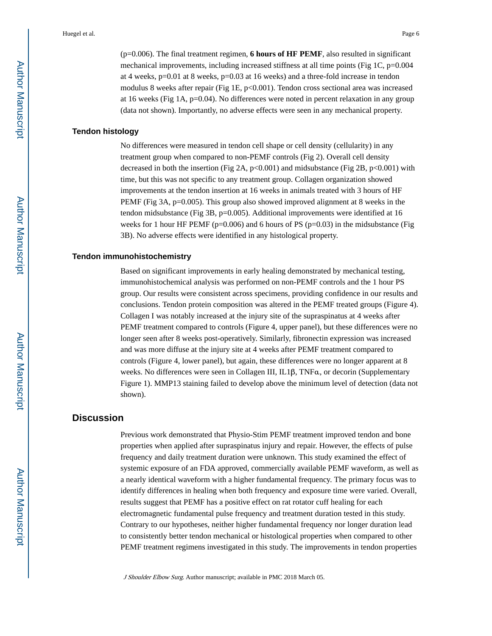(p=0.006). The final treatment regimen, **6 hours of HF PEMF**, also resulted in significant

mechanical improvements, including increased stiffness at all time points (Fig 1C,  $p=0.004$ ) at 4 weeks, p=0.01 at 8 weeks, p=0.03 at 16 weeks) and a three-fold increase in tendon modulus 8 weeks after repair (Fig 1E,  $p<0.001$ ). Tendon cross sectional area was increased at 16 weeks (Fig 1A, p=0.04). No differences were noted in percent relaxation in any group (data not shown). Importantly, no adverse effects were seen in any mechanical property.

#### **Tendon histology**

No differences were measured in tendon cell shape or cell density (cellularity) in any treatment group when compared to non-PEMF controls (Fig 2). Overall cell density decreased in both the insertion (Fig 2A,  $p<0.001$ ) and midsubstance (Fig 2B,  $p<0.001$ ) with time, but this was not specific to any treatment group. Collagen organization showed improvements at the tendon insertion at 16 weeks in animals treated with 3 hours of HF PEMF (Fig 3A, p=0.005). This group also showed improved alignment at 8 weeks in the tendon midsubstance (Fig  $3B$ , p=0.005). Additional improvements were identified at 16 weeks for 1 hour HF PEMF ( $p=0.006$ ) and 6 hours of PS ( $p=0.03$ ) in the midsubstance (Fig 3B). No adverse effects were identified in any histological property.

#### **Tendon immunohistochemistry**

Based on significant improvements in early healing demonstrated by mechanical testing, immunohistochemical analysis was performed on non-PEMF controls and the 1 hour PS group. Our results were consistent across specimens, providing confidence in our results and conclusions. Tendon protein composition was altered in the PEMF treated groups (Figure 4). Collagen I was notably increased at the injury site of the supraspinatus at 4 weeks after PEMF treatment compared to controls (Figure 4, upper panel), but these differences were no longer seen after 8 weeks post-operatively. Similarly, fibronectin expression was increased and was more diffuse at the injury site at 4 weeks after PEMF treatment compared to controls (Figure 4, lower panel), but again, these differences were no longer apparent at 8 weeks. No differences were seen in Collagen III, IL1β, TNFα, or decorin (Supplementary Figure 1). MMP13 staining failed to develop above the minimum level of detection (data not shown).

## **Discussion**

Previous work demonstrated that Physio-Stim PEMF treatment improved tendon and bone properties when applied after supraspinatus injury and repair. However, the effects of pulse frequency and daily treatment duration were unknown. This study examined the effect of systemic exposure of an FDA approved, commercially available PEMF waveform, as well as a nearly identical waveform with a higher fundamental frequency. The primary focus was to identify differences in healing when both frequency and exposure time were varied. Overall, results suggest that PEMF has a positive effect on rat rotator cuff healing for each electromagnetic fundamental pulse frequency and treatment duration tested in this study. Contrary to our hypotheses, neither higher fundamental frequency nor longer duration lead to consistently better tendon mechanical or histological properties when compared to other PEMF treatment regimens investigated in this study. The improvements in tendon properties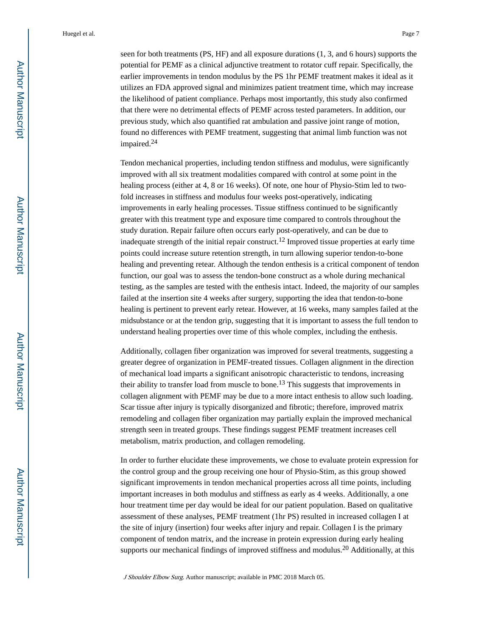seen for both treatments (PS, HF) and all exposure durations (1, 3, and 6 hours) supports the potential for PEMF as a clinical adjunctive treatment to rotator cuff repair. Specifically, the earlier improvements in tendon modulus by the PS 1hr PEMF treatment makes it ideal as it utilizes an FDA approved signal and minimizes patient treatment time, which may increase the likelihood of patient compliance. Perhaps most importantly, this study also confirmed that there were no detrimental effects of PEMF across tested parameters. In addition, our previous study, which also quantified rat ambulation and passive joint range of motion, found no differences with PEMF treatment, suggesting that animal limb function was not impaired.<sup>24</sup>

Tendon mechanical properties, including tendon stiffness and modulus, were significantly improved with all six treatment modalities compared with control at some point in the healing process (either at 4, 8 or 16 weeks). Of note, one hour of Physio-Stim led to twofold increases in stiffness and modulus four weeks post-operatively, indicating improvements in early healing processes. Tissue stiffness continued to be significantly greater with this treatment type and exposure time compared to controls throughout the study duration. Repair failure often occurs early post-operatively, and can be due to inadequate strength of the initial repair construct.<sup>12</sup> Improved tissue properties at early time points could increase suture retention strength, in turn allowing superior tendon-to-bone healing and preventing retear. Although the tendon enthesis is a critical component of tendon function, our goal was to assess the tendon-bone construct as a whole during mechanical testing, as the samples are tested with the enthesis intact. Indeed, the majority of our samples failed at the insertion site 4 weeks after surgery, supporting the idea that tendon-to-bone healing is pertinent to prevent early retear. However, at 16 weeks, many samples failed at the midsubstance or at the tendon grip, suggesting that it is important to assess the full tendon to understand healing properties over time of this whole complex, including the enthesis.

Additionally, collagen fiber organization was improved for several treatments, suggesting a greater degree of organization in PEMF-treated tissues. Collagen alignment in the direction of mechanical load imparts a significant anisotropic characteristic to tendons, increasing their ability to transfer load from muscle to bone.<sup>13</sup> This suggests that improvements in collagen alignment with PEMF may be due to a more intact enthesis to allow such loading. Scar tissue after injury is typically disorganized and fibrotic; therefore, improved matrix remodeling and collagen fiber organization may partially explain the improved mechanical strength seen in treated groups. These findings suggest PEMF treatment increases cell metabolism, matrix production, and collagen remodeling.

In order to further elucidate these improvements, we chose to evaluate protein expression for the control group and the group receiving one hour of Physio-Stim, as this group showed significant improvements in tendon mechanical properties across all time points, including important increases in both modulus and stiffness as early as 4 weeks. Additionally, a one hour treatment time per day would be ideal for our patient population. Based on qualitative assessment of these analyses, PEMF treatment (1hr PS) resulted in increased collagen I at the site of injury (insertion) four weeks after injury and repair. Collagen I is the primary component of tendon matrix, and the increase in protein expression during early healing supports our mechanical findings of improved stiffness and modulus.<sup>20</sup> Additionally, at this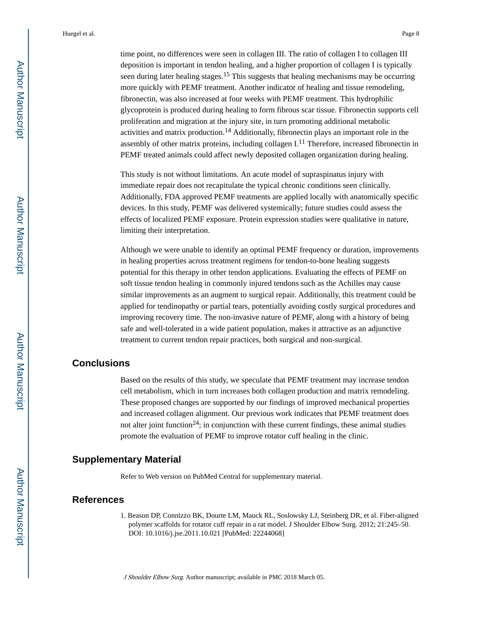time point, no differences were seen in collagen III. The ratio of collagen I to collagen III deposition is important in tendon healing, and a higher proportion of collagen I is typically seen during later healing stages.<sup>15</sup> This suggests that healing mechanisms may be occurring more quickly with PEMF treatment. Another indicator of healing and tissue remodeling, fibronectin, was also increased at four weeks with PEMF treatment. This hydrophilic glycoprotein is produced during healing to form fibrous scar tissue. Fibronectin supports cell proliferation and migration at the injury site, in turn promoting additional metabolic activities and matrix production.<sup>14</sup> Additionally, fibronectin plays an important role in the assembly of other matrix proteins, including collagen  $I<sup>11</sup>$  Therefore, increased fibronectin in PEMF treated animals could affect newly deposited collagen organization during healing.

This study is not without limitations. An acute model of supraspinatus injury with immediate repair does not recapitulate the typical chronic conditions seen clinically. Additionally, FDA approved PEMF treatments are applied locally with anatomically specific devices. In this study, PEMF was delivered systemically; future studies could assess the effects of localized PEMF exposure. Protein expression studies were qualitative in nature, limiting their interpretation.

Although we were unable to identify an optimal PEMF frequency or duration, improvements in healing properties across treatment regimens for tendon-to-bone healing suggests potential for this therapy in other tendon applications. Evaluating the effects of PEMF on soft tissue tendon healing in commonly injured tendons such as the Achilles may cause similar improvements as an augment to surgical repair. Additionally, this treatment could be applied for tendinopathy or partial tears, potentially avoiding costly surgical procedures and improving recovery time. The non-invasive nature of PEMF, along with a history of being safe and well-tolerated in a wide patient population, makes it attractive as an adjunctive treatment to current tendon repair practices, both surgical and non-surgical.

## **Conclusions**

Based on the results of this study, we speculate that PEMF treatment may increase tendon cell metabolism, which in turn increases both collagen production and matrix remodeling. These proposed changes are supported by our findings of improved mechanical properties and increased collagen alignment. Our previous work indicates that PEMF treatment does not alter joint function<sup>24</sup>; in conjunction with these current findings, these animal studies promote the evaluation of PEMF to improve rotator cuff healing in the clinic.

## **Supplementary Material**

Refer to Web version on PubMed Central for supplementary material.

## **References**

1. Beason DP, Connizzo BK, Dourte LM, Mauck RL, Soslowsky LJ, Steinberg DR, et al. Fiber-aligned polymer scaffolds for rotator cuff repair in a rat model. J Shoulder Elbow Surg. 2012; 21:245–50. DOI: 10.1016/j.jse.2011.10.021 [PubMed: 22244068]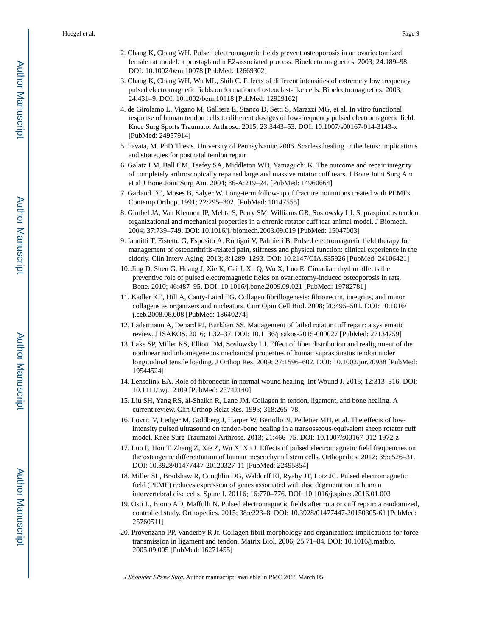- 2. Chang K, Chang WH. Pulsed electromagnetic fields prevent osteoporosis in an ovariectomized female rat model: a prostaglandin E2-associated process. Bioelectromagnetics. 2003; 24:189–98. DOI: 10.1002/bem.10078 [PubMed: 12669302]
- 3. Chang K, Chang WH, Wu ML, Shih C. Effects of different intensities of extremely low frequency pulsed electromagnetic fields on formation of osteoclast-like cells. Bioelectromagnetics. 2003; 24:431–9. DOI: 10.1002/bem.10118 [PubMed: 12929162]
- 4. de Girolamo L, Vigano M, Galliera E, Stanco D, Setti S, Marazzi MG, et al. In vitro functional response of human tendon cells to different dosages of low-frequency pulsed electromagnetic field. Knee Surg Sports Traumatol Arthrosc. 2015; 23:3443–53. DOI: 10.1007/s00167-014-3143-x [PubMed: 24957914]
- 5. Favata, M. PhD Thesis. University of Pennsylvania; 2006. Scarless healing in the fetus: implications and strategies for postnatal tendon repair
- 6. Galatz LM, Ball CM, Teefey SA, Middleton WD, Yamaguchi K. The outcome and repair integrity of completely arthroscopically repaired large and massive rotator cuff tears. J Bone Joint Surg Am et al J Bone Joint Surg Am. 2004; 86-A:219–24. [PubMed: 14960664]
- 7. Garland DE, Moses B, Salyer W. Long-term follow-up of fracture nonunions treated with PEMFs. Contemp Orthop. 1991; 22:295–302. [PubMed: 10147555]
- 8. Gimbel JA, Van Kleunen JP, Mehta S, Perry SM, Williams GR, Soslowsky LJ. Supraspinatus tendon organizational and mechanical properties in a chronic rotator cuff tear animal model. J Biomech. 2004; 37:739–749. DOI: 10.1016/j.jbiomech.2003.09.019 [PubMed: 15047003]
- 9. Iannitti T, Fistetto G, Esposito A, Rottigni V, Palmieri B. Pulsed electromagnetic field therapy for management of osteoarthritis-related pain, stiffness and physical function: clinical experience in the elderly. Clin Interv Aging. 2013; 8:1289–1293. DOI: 10.2147/CIA.S35926 [PubMed: 24106421]
- 10. Jing D, Shen G, Huang J, Xie K, Cai J, Xu Q, Wu X, Luo E. Circadian rhythm affects the preventive role of pulsed electromagnetic fields on ovariectomy-induced osteoporosis in rats. Bone. 2010; 46:487–95. DOI: 10.1016/j.bone.2009.09.021 [PubMed: 19782781]
- 11. Kadler KE, Hill A, Canty-Laird EG. Collagen fibrillogenesis: fibronectin, integrins, and minor collagens as organizers and nucleators. Curr Opin Cell Biol. 2008; 20:495–501. DOI: 10.1016/ j.ceb.2008.06.008 [PubMed: 18640274]
- 12. Ladermann A, Denard PJ, Burkhart SS. Management of failed rotator cuff repair: a systematic review. J ISAKOS. 2016; 1:32–37. DOI: 10.1136/jisakos-2015-000027 [PubMed: 27134759]
- 13. Lake SP, Miller KS, Elliott DM, Soslowsky LJ. Effect of fiber distribution and realignment of the nonlinear and inhomegeneous mechanical properties of human supraspinatus tendon under longitudinal tensile loading. J Orthop Res. 2009; 27:1596–602. DOI: 10.1002/jor.20938 [PubMed: 19544524]
- 14. Lenselink EA. Role of fibronectin in normal wound healing. Int Wound J. 2015; 12:313–316. DOI: 10.1111/iwj.12109 [PubMed: 23742140]
- 15. Liu SH, Yang RS, al-Shaikh R, Lane JM. Collagen in tendon, ligament, and bone healing. A current review. Clin Orthop Relat Res. 1995; 318:265–78.
- 16. Lovric V, Ledger M, Goldberg J, Harper W, Bertollo N, Pelletier MH, et al. The effects of lowintensity pulsed ultrasound on tendon-bone healing in a transosseous-equivalent sheep rotator cuff model. Knee Surg Traumatol Arthrosc. 2013; 21:466–75. DOI: 10.1007/s00167-012-1972-z
- 17. Luo F, Hou T, Zhang Z, Xie Z, Wu X, Xu J. Effects of pulsed electromagnetic field frequencies on the osteogenic differentiation of human mesenchymal stem cells. Orthopedics. 2012; 35:e526–31. DOI: 10.3928/01477447-20120327-11 [PubMed: 22495854]
- 18. Miller SL, Bradshaw R, Coughlin DG, Waldorff EI, Ryaby JT, Lotz JC. Pulsed electromagnetic field (PEMF) reduces expression of genes associated with disc degeneration in human intervertebral disc cells. Spine J. 20116; 16:770–776. DOI: 10.1016/j.spinee.2016.01.003
- 19. Osti L, Biono AD, Maffulli N. Pulsed electromagnetic fields after rotator cuff repair: a randomized, controlled study. Orthopedics. 2015; 38:e223–8. DOI: 10.3928/01477447-20150305-61 [PubMed: 25760511]
- 20. Provenzano PP, Vanderby R Jr. Collagen fibril morphology and organization: implications for force transmission in ligament and tendon. Matrix Biol. 2006; 25:71–84. DOI: 10.1016/j.matbio. 2005.09.005 [PubMed: 16271455]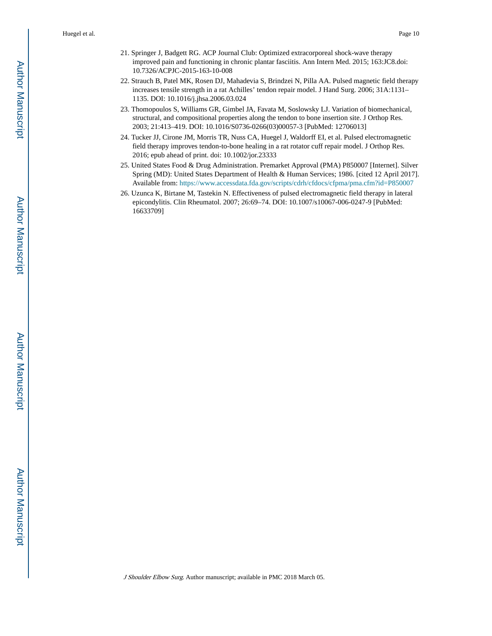- 21. Springer J, Badgett RG. ACP Journal Club: Optimized extracorporeal shock-wave therapy improved pain and functioning in chronic plantar fasciitis. Ann Intern Med. 2015; 163:JC8.doi: 10.7326/ACPJC-2015-163-10-008
- 22. Strauch B, Patel MK, Rosen DJ, Mahadevia S, Brindzei N, Pilla AA. Pulsed magnetic field therapy increases tensile strength in a rat Achilles' tendon repair model. J Hand Surg. 2006; 31A:1131– 1135. DOI: 10.1016/j.jhsa.2006.03.024
- 23. Thomopoulos S, Williams GR, Gimbel JA, Favata M, Soslowsky LJ. Variation of biomechanical, structural, and compositional properties along the tendon to bone insertion site. J Orthop Res. 2003; 21:413–419. DOI: 10.1016/S0736-0266(03)00057-3 [PubMed: 12706013]
- 24. Tucker JJ, Cirone JM, Morris TR, Nuss CA, Huegel J, Waldorff EI, et al. Pulsed electromagnetic field therapy improves tendon-to-bone healing in a rat rotator cuff repair model. J Orthop Res. 2016; epub ahead of print. doi: 10.1002/jor.23333
- 25. United States Food & Drug Administration. Premarket Approval (PMA) P850007 [Internet]. Silver Spring (MD): United States Department of Health & Human Services; 1986. [cited 12 April 2017]. Available from: <https://www.accessdata.fda.gov/scripts/cdrh/cfdocs/cfpma/pma.cfm?id=P850007>
- 26. Uzunca K, Birtane M, Tastekin N. Effectiveness of pulsed electromagnetic field therapy in lateral epicondylitis. Clin Rheumatol. 2007; 26:69–74. DOI: 10.1007/s10067-006-0247-9 [PubMed: 16633709]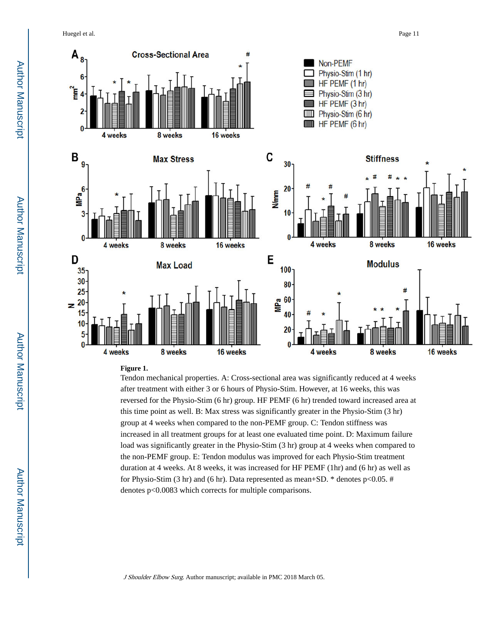Huegel et al. Page 11



#### **Figure 1.**

Tendon mechanical properties. A: Cross-sectional area was significantly reduced at 4 weeks after treatment with either 3 or 6 hours of Physio-Stim. However, at 16 weeks, this was reversed for the Physio-Stim (6 hr) group. HF PEMF (6 hr) trended toward increased area at this time point as well. B: Max stress was significantly greater in the Physio-Stim (3 hr) group at 4 weeks when compared to the non-PEMF group. C: Tendon stiffness was increased in all treatment groups for at least one evaluated time point. D: Maximum failure load was significantly greater in the Physio-Stim (3 hr) group at 4 weeks when compared to the non-PEMF group. E: Tendon modulus was improved for each Physio-Stim treatment duration at 4 weeks. At 8 weeks, it was increased for HF PEMF (1hr) and (6 hr) as well as for Physio-Stim (3 hr) and (6 hr). Data represented as mean+SD.  $*$  denotes p $< 0.05$ . # denotes p<0.0083 which corrects for multiple comparisons.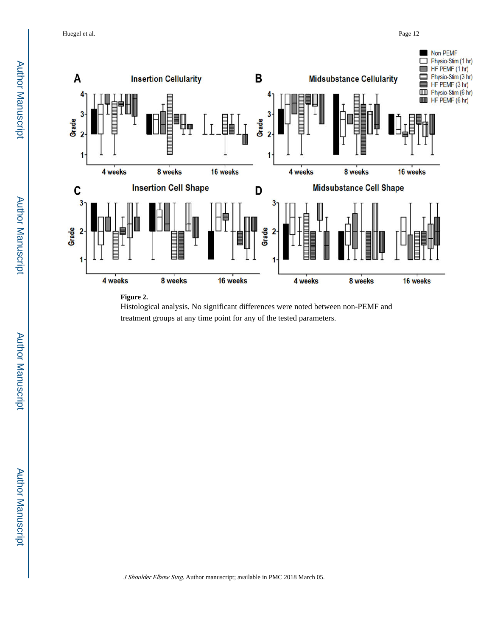Huegel et al. Page 12



#### **Figure 2.**



Author Manuscript

Author Manuscript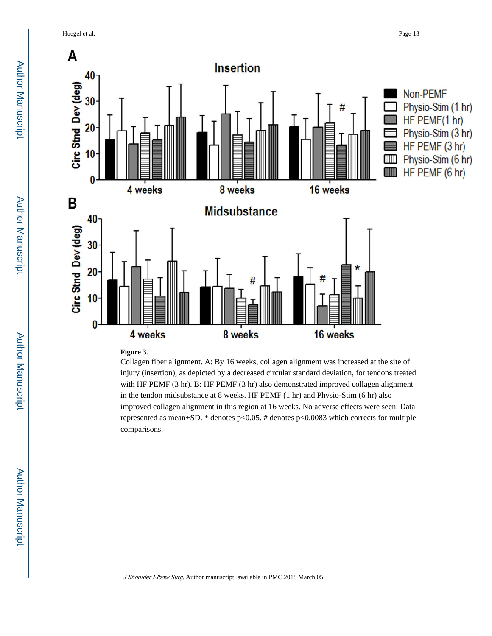Huegel et al. Page 13



#### **Figure 3.**

Collagen fiber alignment. A: By 16 weeks, collagen alignment was increased at the site of injury (insertion), as depicted by a decreased circular standard deviation, for tendons treated with HF PEMF (3 hr). B: HF PEMF (3 hr) also demonstrated improved collagen alignment in the tendon midsubstance at 8 weeks. HF PEMF (1 hr) and Physio-Stim (6 hr) also improved collagen alignment in this region at 16 weeks. No adverse effects were seen. Data represented as mean+SD. \* denotes p<0.05. # denotes p<0.0083 which corrects for multiple comparisons.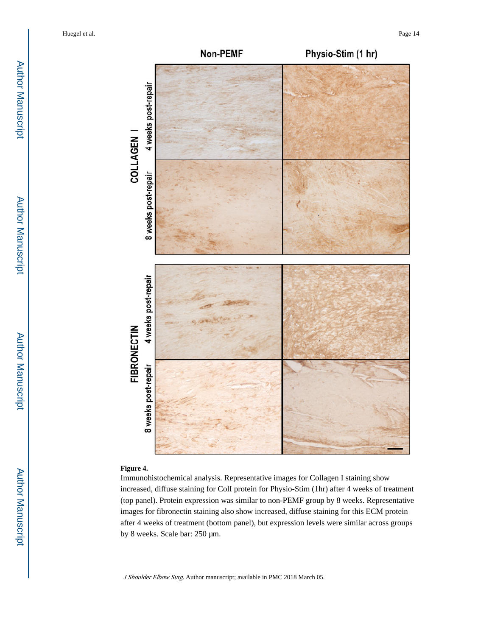

#### **Figure 4.**

Immunohistochemical analysis. Representative images for Collagen I staining show increased, diffuse staining for ColI protein for Physio-Stim (1hr) after 4 weeks of treatment (top panel). Protein expression was similar to non-PEMF group by 8 weeks. Representative images for fibronectin staining also show increased, diffuse staining for this ECM protein after 4 weeks of treatment (bottom panel), but expression levels were similar across groups by 8 weeks. Scale bar: 250 μm.